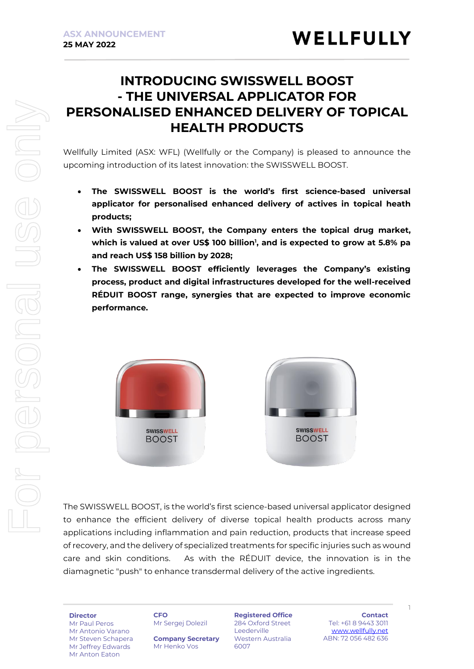# **INTRODUCING SWISSWELL BOOST - THE UNIVERSAL APPLICATOR FOR PERSONALISED ENHANCED DELIVERY OF TOPICAL HEALTH PRODUCTS**

Wellfully Limited (ASX: WFL) (Wellfully or the Company) is pleased to announce the upcoming introduction of its latest innovation: the SWISSWELL BOOST.

- **The SWISSWELL BOOST is the world's first science-based universal applicator for personalised enhanced delivery of actives in topical heath products;**
- **With SWISSWELL BOOST, the Company enters the topical drug market, which is valued at over US\$ 100 billion<sup>1</sup> , and is expected to grow at 5.8% pa and reach US\$ 158 billion by 2028;**
- **The SWISSWELL BOOST efficiently leverages the Company's existing process, product and digital infrastructures developed for the well-received RÉDUIT BOOST range, synergies that are expected to improve economic performance.**



The SWISSWELL BOOST, is the world's first science-based universal applicator designed to enhance the efficient delivery of diverse topical health products across many applications including inflammation and pain reduction, products that increase speed of recovery, and the delivery of specialized treatments for specific injuries such as wound care and skin conditions. As with the RÉDUIT device, the innovation is in the diamagnetic "push" to enhance transdermal delivery of the active ingredients.

For personal use only

rsonal

OF DO

Mr Paul Peros Mr Antonio Varano Mr Steven Schapera Mr Jeffrey Edwards Mr Anton Eaton

#### **CFO**

Mr Sergej Dolezil

**Company Secretary** Mr Henko Vos

**Registered Office** 284 Oxford Street Leederville Western Australia 6007

**Contact** Tel: +61 8 9443 3011 [www.wellfully.net](http://www.wellfully.net/) ABN: 72 056 482 636

1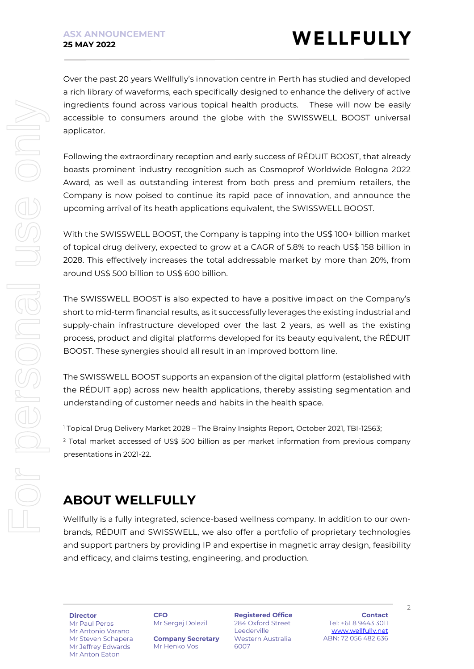Over the past 20 years Wellfully's innovation centre in Perth has studied and developed a rich library of waveforms, each specifically designed to enhance the delivery of active ingredients found across various topical health products. These will now be easily accessible to consumers around the globe with the SWISSWELL BOOST universal applicator.

Following the extraordinary reception and early success of RÉDUIT BOOST, that already boasts prominent industry recognition such as Cosmoprof Worldwide Bologna 2022 Award, as well as outstanding interest from both press and premium retailers, the Company is now poised to continue its rapid pace of innovation, and announce the upcoming arrival of its heath applications equivalent, the SWISSWELL BOOST.

With the SWISSWELL BOOST, the Company is tapping into the US\$ 100+ billion market of topical drug delivery, expected to grow at a CAGR of 5.8% to reach US\$ 158 billion in 2028. This effectively increases the total addressable market by more than 20%, from around US\$ 500 billion to US\$ 600 billion.

The SWISSWELL BOOST is also expected to have a positive impact on the Company's short to mid-term financial results, as it successfully leverages the existing industrial and supply-chain infrastructure developed over the last 2 years, as well as the existing process, product and digital platforms developed for its beauty equivalent, the RÉDUIT BOOST. These synergies should all result in an improved bottom line.

The SWISSWELL BOOST supports an expansion of the digital platform (established with the RÉDUIT app) across new health applications, thereby assisting segmentation and understanding of customer needs and habits in the health space.

<sup>1</sup> Topical Drug Delivery Market 2028 – The Brainy Insights Report, October 2021, TBI-12563;  $2$  Total market accessed of US\$ 500 billion as per market information from previous company presentations in 2021-22.

# **ABOUT WELLFULLY**

Wellfully is a fully integrated, science-based wellness company. In addition to our ownbrands, RÉDUIT and SWISSWELL, we also offer a portfolio of proprietary technologies and support partners by providing IP and expertise in magnetic array design, feasibility and efficacy, and claims testing, engineering, and production.

**Director** Mr Paul Peros Mr Antonio Varano Mr Steven Schapera Mr Jeffrey Edwards Mr Anton Eaton

**CFO**

Mr Sergej Dolezil

**Company Secretary** Mr Henko Vos

**Registered Office** 284 Oxford Street Leederville Western Australia 6007

**Contact** Tel: +61 8 9443 3011 [www.wellfully.net](http://www.wellfully.net/) ABN: 72 056 482 636

 $\overline{2}$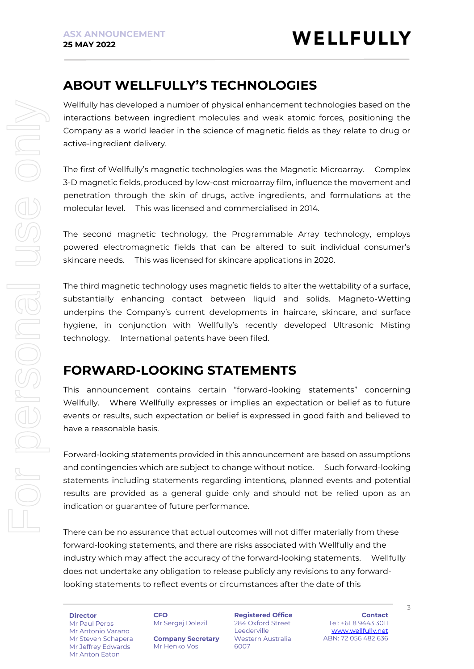## **ABOUT WELLFULLY'S TECHNOLOGIES**

Wellfully has developed a number of physical enhancement technologies based on the interactions between ingredient molecules and weak atomic forces, positioning the Company as a world leader in the science of magnetic fields as they relate to drug or active-ingredient delivery.

The first of Wellfully's magnetic technologies was the Magnetic Microarray. Complex 3-D magnetic fields, produced by low-cost microarray film, influence the movement and penetration through the skin of drugs, active ingredients, and formulations at the molecular level. This was licensed and commercialised in 2014.

The second magnetic technology, the Programmable Array technology, employs powered electromagnetic fields that can be altered to suit individual consumer's skincare needs. This was licensed for skincare applications in 2020.

The third magnetic technology uses magnetic fields to alter the wettability of a surface, substantially enhancing contact between liquid and solids. Magneto-Wetting underpins the Company's current developments in haircare, skincare, and surface hygiene, in conjunction with Wellfully's recently developed Ultrasonic Misting technology. International patents have been filed.

## **FORWARD-LOOKING STATEMENTS**

This announcement contains certain "forward-looking statements" concerning Wellfully. Where Wellfully expresses or implies an expectation or belief as to future events or results, such expectation or belief is expressed in good faith and believed to have a reasonable basis.

Forward-looking statements provided in this announcement are based on assumptions and contingencies which are subject to change without notice. Such forward-looking statements including statements regarding intentions, planned events and potential results are provided as a general guide only and should not be relied upon as an indication or guarantee of future performance.

There can be no assurance that actual outcomes will not differ materially from these forward-looking statements, and there are risks associated with Wellfully and the industry which may affect the accuracy of the forward-looking statements. Wellfully does not undertake any obligation to release publicly any revisions to any forwardlooking statements to reflect events or circumstances after the date of this

**Director**

Mr Paul Peros Mr Antonio Varano Mr Steven Schapera Mr Jeffrey Edwards Mr Anton Eaton

**CFO** Mr Sergej Dolezil

**Company Secretary** Mr Henko Vos

**Registered Office** 284 Oxford Street Leederville Western Australia 6007

**Contact** Tel: +61 8 9443 3011 [www.wellfully.net](http://www.wellfully.net/) ABN: 72 056 482 636

3